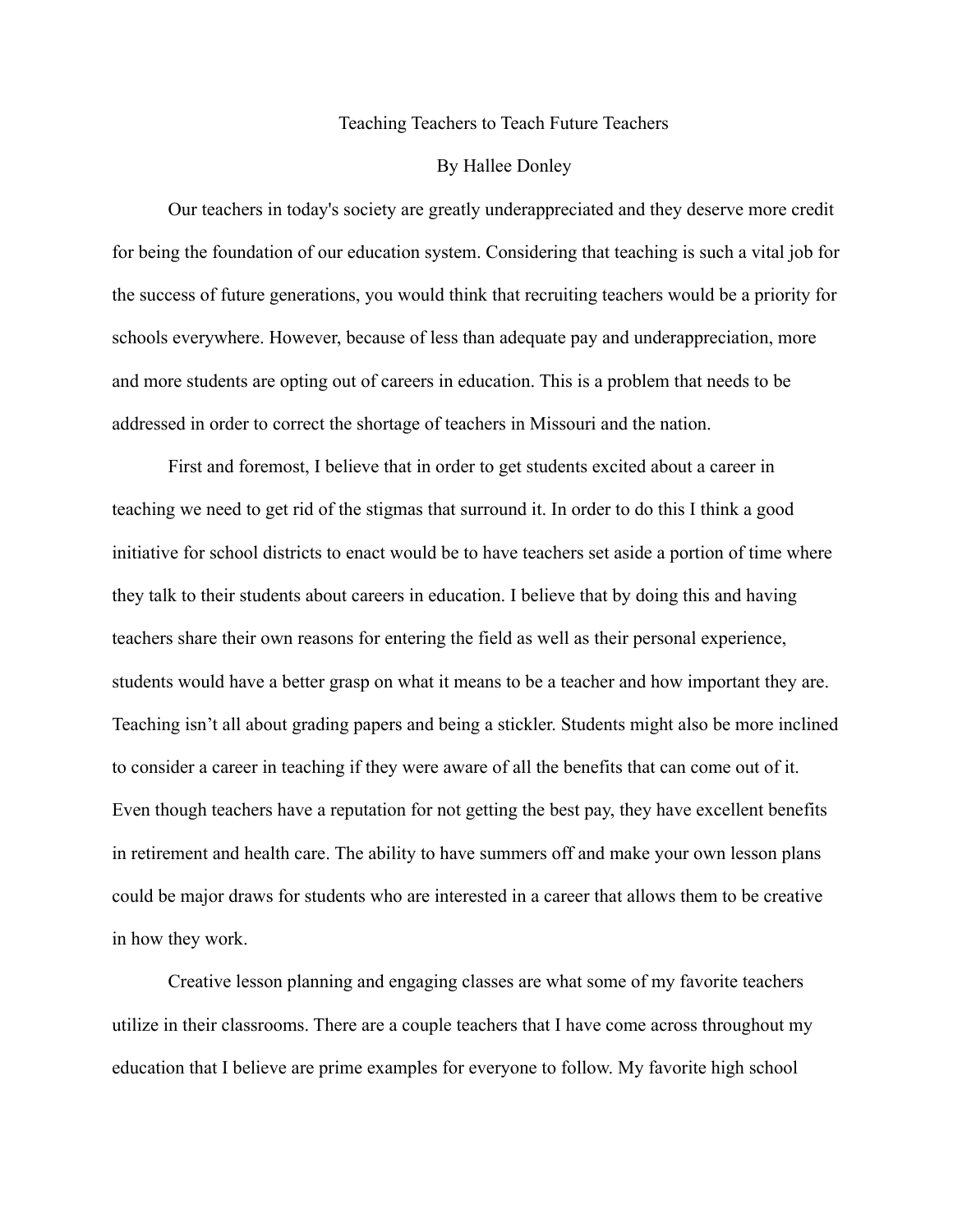## Teaching Teachers to Teach Future Teachers

## By Hallee Donley

Our teachers in today's society are greatly underappreciated and they deserve more credit for being the foundation of our education system. Considering that teaching is such a vital job for the success of future generations, you would think that recruiting teachers would be a priority for schools everywhere. However, because of less than adequate pay and underappreciation, more and more students are opting out of careers in education. This is a problem that needs to be addressed in order to correct the shortage of teachers in Missouri and the nation.

First and foremost, I believe that in order to get students excited about a career in teaching we need to get rid of the stigmas that surround it. In order to do this I think a good initiative for school districts to enact would be to have teachers set aside a portion of time where they talk to their students about careers in education. I believe that by doing this and having teachers share their own reasons for entering the field as well as their personal experience, students would have a better grasp on what it means to be a teacher and how important they are. Teaching isn't all about grading papers and being a stickler. Students might also be more inclined to consider a career in teaching if they were aware of all the benefits that can come out of it. Even though teachers have a reputation for not getting the best pay, they have excellent benefits in retirement and health care. The ability to have summers off and make your own lesson plans could be major draws for students who are interested in a career that allows them to be creative in how they work.

Creative lesson planning and engaging classes are what some of my favorite teachers utilize in their classrooms. There are a couple teachers that I have come across throughout my education that I believe are prime examples for everyone to follow. My favorite high school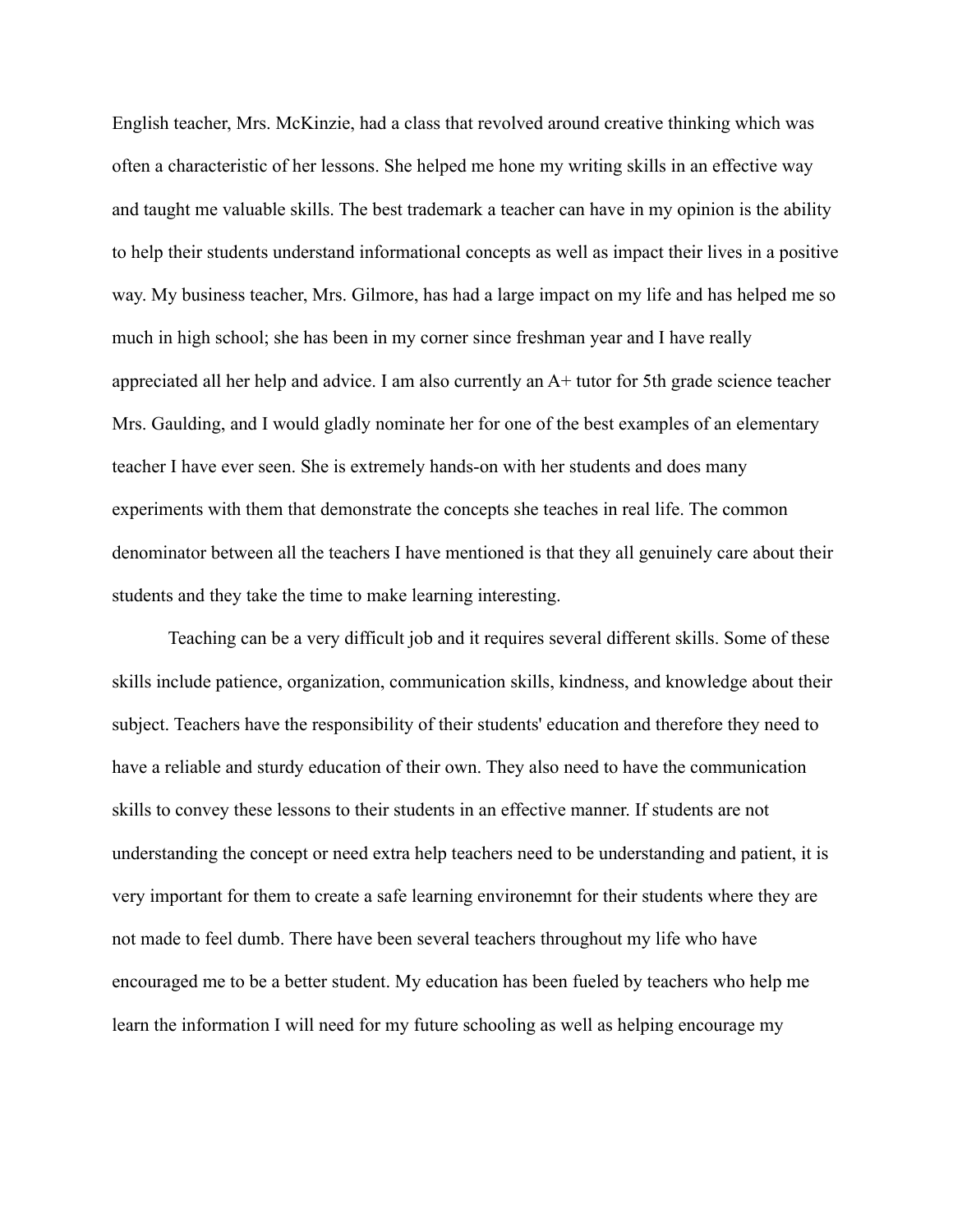English teacher, Mrs. McKinzie, had a class that revolved around creative thinking which was often a characteristic of her lessons. She helped me hone my writing skills in an effective way and taught me valuable skills. The best trademark a teacher can have in my opinion is the ability to help their students understand informational concepts as well as impact their lives in a positive way. My business teacher, Mrs. Gilmore, has had a large impact on my life and has helped me so much in high school; she has been in my corner since freshman year and I have really appreciated all her help and advice. I am also currently an A+ tutor for 5th grade science teacher Mrs. Gaulding, and I would gladly nominate her for one of the best examples of an elementary teacher I have ever seen. She is extremely hands-on with her students and does many experiments with them that demonstrate the concepts she teaches in real life. The common denominator between all the teachers I have mentioned is that they all genuinely care about their students and they take the time to make learning interesting.

Teaching can be a very difficult job and it requires several different skills. Some of these skills include patience, organization, communication skills, kindness, and knowledge about their subject. Teachers have the responsibility of their students' education and therefore they need to have a reliable and sturdy education of their own. They also need to have the communication skills to convey these lessons to their students in an effective manner. If students are not understanding the concept or need extra help teachers need to be understanding and patient, it is very important for them to create a safe learning environemnt for their students where they are not made to feel dumb. There have been several teachers throughout my life who have encouraged me to be a better student. My education has been fueled by teachers who help me learn the information I will need for my future schooling as well as helping encourage my